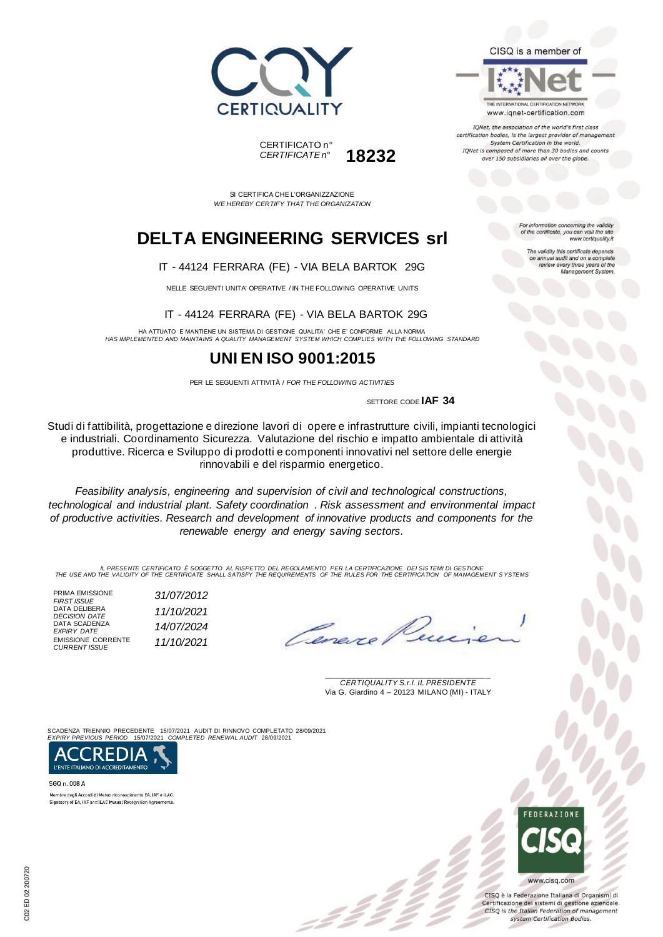



THE INTERNATIONAL CERTIFICATION NETWORK www.iqnet-certification.com

IQNet, the association of the world's first class certification bodies, is the largest provider of managen System Certification in the world. IQNet is composed of more than 30 bodies and counts over 150 subsidiaries all over the globe.

For information concerning the validity<br>of the certificate, you can visit the site

The validity this certificate depends on annual audit and on a complete<br>review every three years of the<br>Management System.

www.certiquality.it

SI CERTIFICA CHE L'ORGANIZZAZIONE *WE HEREBY CERTIFY THAT THE ORGANIZATION*

CERTIFICATO n°

*CERTIFICATE n°* **18232**

# **DELTA ENGINEERING SERVICES srl**

#### IT - 44124 FERRARA (FE) - VIA BELA BARTOK 29G

NELLE SEGUENTI UNITA' OPERATIVE / IN THE FOLLOWING OPERATIVE UNITS

IT - 44124 FERRARA (FE) - VIA BELA BARTOK 29G

HA ATTUATO E MANTIENE UN SISTEMA DI GESTIONE QUALITA' CHE E' CONFORME ALLA NORMA *HAS IMPLEMENTED AND MAINTAINS A QUALITY MANAGEMENT SYSTEM WHICH COMPLIES WITH THE FOLLOWING STANDARD*

### **UNI EN ISO 9001:2015**

PER LE SEGUENTI ATTIVITÀ / *FOR THE FOLLOWING ACTIVITIES*

SETTORE CODE **IAF 34**

Studi di fattibilità, progettazione e direzione lavori di opere e infrastrutture civili, impianti tecnologici e industriali. Coordinamento Sicurezza. Valutazione del rischio e impatto ambientale di attività produttive. Ricerca e Sviluppo di prodotti e componenti innovativi nel settore delle energie rinnovabili e del risparmio energetico.

*Feasibility analysis, engineering and supervision of civil and technological constructions, technological and industrial plant. Safety coordination . Risk assessment and environmental impact of productive activities. Research and development of innovative products and components for the renewable energy and energy saving sectors.*

IL PRESENTE CERTIFICATO E SOGGETTO AL RISPETTO DEL REGOLAMENTO PER LA CERTIFICAZIONE DEI SISTEMI DI GESTIONE<br>THE USE AND THE VALIDITY OF THE CERTIFICATE SHALL SATISFY THE REQUIREMENTS OF THE RULES FOR THE CERTIFICATION OF

PRIMA EMISSIONE<br>FIRST ISSUE *FIRST ISSUE 31/07/2012* DATA DELIBERA *DECISION DATE 11/10/2021* DATA SCADENZA<br>EXPIRY DATE *EXPIRY DATE 14/07/2024* EMISSIONE CORRENTE *CURRENT ISSUE 11/10/2021*

Cene.

\_\_\_\_\_\_\_\_\_\_\_\_\_\_\_\_\_\_\_\_\_\_\_\_\_\_\_\_\_\_\_\_\_\_\_\_\_\_\_ *CERTIQUALITY S.r.l. IL PRESIDENTE* Via G. Giardino 4 – 20123 MILANO (MI) - ITALY

SCADENZA TRIENNIO PRECEDENTE 15/07/2021 AUDIT DI RINNOVO COMPLETATO 28/09/2021 *EXPIRY PREVIOUS PERIOD* 15/07/2021 *COMPLETED RENEWAL AUDIT* 28/09/2021



SGQ n. 008 A Membro degli Accordi di Mutuo riconoscimento EA, IAF e ILAC. Signatory of EA, IAF and ILAC Mutual Recognition Agreements



CISO è la Federazione Italiana di Organismi di Certificazione dei sistemi di gestione aziendale. CISQ is the Italian Federation of management system Certification Bodies.